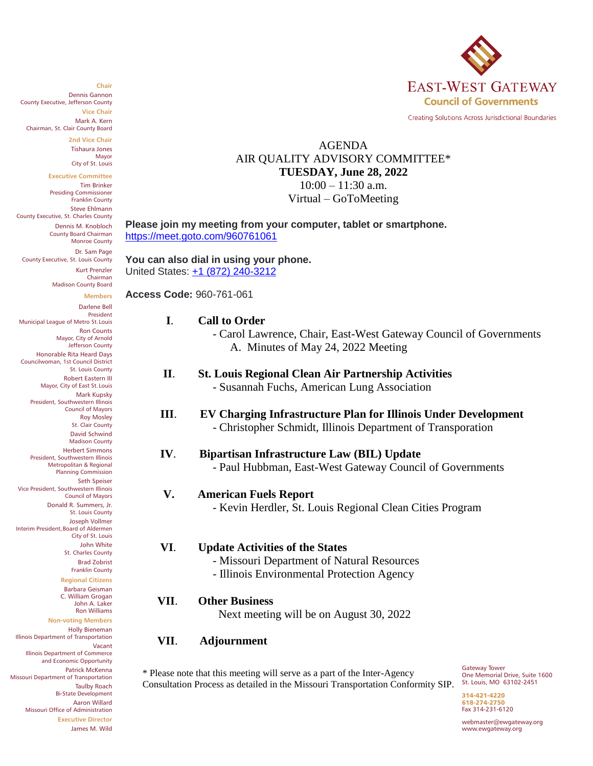

Creating Solutions Across Jurisdictional Boundaries

## AGENDA AIR QUALITY ADVISORY COMMITTEE\* **TUESDAY, June 28, 2022**  $10:00 - 11:30$  a.m. Virtual – GoToMeeting

**Please join my meeting from your computer, tablet or smartphone.** <https://meet.goto.com/960761061>

#### **You can also dial in using your phone.** United States: [+1 \(872\) 240-3212](tel:+18722403212,,960761061)

**Access Code:** 960-761-061

## **I**. **Call to Order**

 - Carol Lawrence, Chair, East-West Gateway Council of Governments A. Minutes of May 24, 2022 Meeting

## **II**. **St. Louis Regional Clean Air Partnership Activities** - Susannah Fuchs, American Lung Association

 **III**. **EV Charging Infrastructure Plan for Illinois Under Development** - Christopher Schmidt, Illinois Department of Transporation

## **IV**. **Bipartisan Infrastructure Law (BIL) Update** - Paul Hubbman, East-West Gateway Council of Governments

## **V. American Fuels Report**

- Kevin Herdler, St. Louis Regional Clean Cities Program

#### **VI**. **Update Activities of the States**

- Missouri Department of Natural Resources
- Illinois Environmental Protection Agency

## **VII**. **Other Business**

Next meeting will be on August 30, 2022

## **VII**. **Adjournment**

 \* Please note that this meeting will serve as a part of the Inter-Agency Consultation Process as detailed in the Missouri Transportation Conformity SIP.

Gateway Tower One Memorial Drive, Suite 1600 St. Louis, MO 63102-2451

314-421-4220 618-274-2750 Fax 314-231-6120

webmaster@ewgateway.org www.ewgateway.org

**Chair**

Dennis Gannon County Executive, Jefferson County **Vice Chair** Mark A. Kern

Chairman, St. Clair County Board

**2nd Vice Chair** Tishaura Jones Mayor

City of St. Louis

**Executive Committee** Tim Brinker Presiding Commissioner Franklin County Steve Ehlmann County Executive, St. Charles County Dennis M. Knobloch County Board Chairman Monroe County

Dr. Sam Page County Executive, St. Louis County Kurt Prenzler Chairman Madison County Board

#### **Members**

Darlene Bell President Municipal League of Metro St. Louis Ron Counts Mayor, City of Arnold Jefferson County Honorable Rita Heard Days Councilwoman, 1st Council District St. Louis County Robert Eastern III Mayor, City of East St. Louis Mark Kupsky President, Southwestern Illinois Council of Mayors Roy Mosley St. Clair County David Schwind Madison County Herbert Simmons President, Southwestern Illinois Metropolitan & Regional Planning Commission Seth Speiser Vice President, Southwestern Illinois Council of Mayors Donald R. Summers, Jr. St. Louis County Joseph Vollmer Interim President, Board of Aldermen City of St. Louis John White St. Charles County Brad Zobrist Franklin County **Regional Citizens** Barbara Geisman C. William Grogan John A. Laker Ron Williams **Non-voting Members** Holly Bieneman Illinois Department of Transportation Vacant Illinois Department of Commerce and Economic Opportunity Patrick McKenna Missouri Department of Transportation Taulby Roach Bi-State Development Aaron Willard Missouri Office of Administration **Executive Director** James M. Wild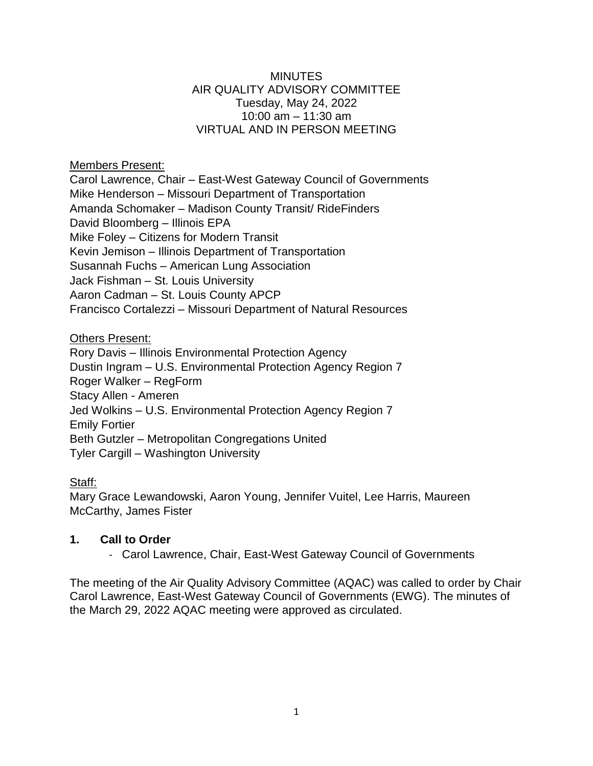## **MINUTES** AIR QUALITY ADVISORY COMMITTEE Tuesday, May 24, 2022 10:00 am – 11:30 am VIRTUAL AND IN PERSON MEETING

Members Present:

Carol Lawrence, Chair – East-West Gateway Council of Governments Mike Henderson – Missouri Department of Transportation Amanda Schomaker – Madison County Transit/ RideFinders David Bloomberg – Illinois EPA Mike Foley – Citizens for Modern Transit Kevin Jemison – Illinois Department of Transportation Susannah Fuchs – American Lung Association Jack Fishman – St. Louis University Aaron Cadman – St. Louis County APCP Francisco Cortalezzi – Missouri Department of Natural Resources

Others Present:

Rory Davis – Illinois Environmental Protection Agency Dustin Ingram – U.S. Environmental Protection Agency Region 7 Roger Walker – RegForm Stacy Allen - Ameren Jed Wolkins – U.S. Environmental Protection Agency Region 7 Emily Fortier Beth Gutzler – Metropolitan Congregations United Tyler Cargill – Washington University

# Staff:

Mary Grace Lewandowski, Aaron Young, Jennifer Vuitel, Lee Harris, Maureen McCarthy, James Fister

# **1. Call to Order**

- Carol Lawrence, Chair, East-West Gateway Council of Governments

The meeting of the Air Quality Advisory Committee (AQAC) was called to order by Chair Carol Lawrence, East-West Gateway Council of Governments (EWG). The minutes of the March 29, 2022 AQAC meeting were approved as circulated.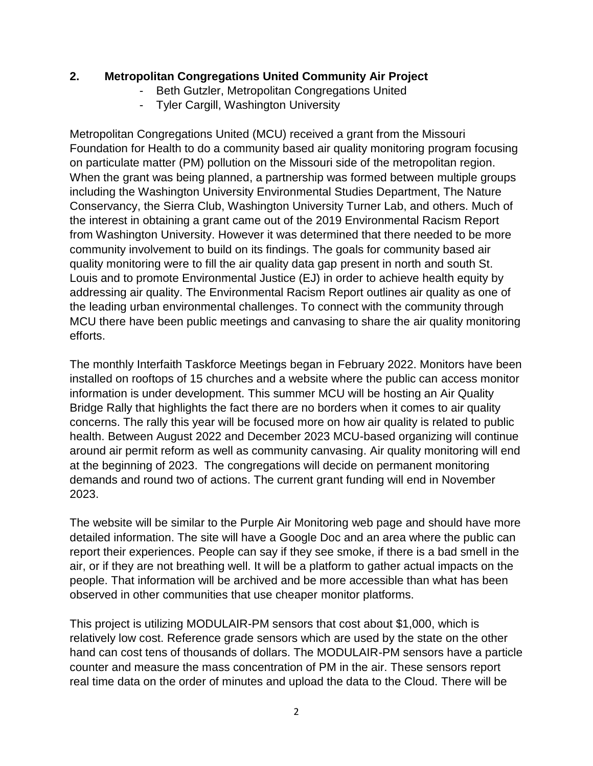# **2. Metropolitan Congregations United Community Air Project**

- Beth Gutzler, Metropolitan Congregations United
- Tyler Cargill, Washington University

Metropolitan Congregations United (MCU) received a grant from the Missouri Foundation for Health to do a community based air quality monitoring program focusing on particulate matter (PM) pollution on the Missouri side of the metropolitan region. When the grant was being planned, a partnership was formed between multiple groups including the Washington University Environmental Studies Department, The Nature Conservancy, the Sierra Club, Washington University Turner Lab, and others. Much of the interest in obtaining a grant came out of the 2019 Environmental Racism Report from Washington University. However it was determined that there needed to be more community involvement to build on its findings. The goals for community based air quality monitoring were to fill the air quality data gap present in north and south St. Louis and to promote Environmental Justice (EJ) in order to achieve health equity by addressing air quality. The Environmental Racism Report outlines air quality as one of the leading urban environmental challenges. To connect with the community through MCU there have been public meetings and canvasing to share the air quality monitoring efforts.

The monthly Interfaith Taskforce Meetings began in February 2022. Monitors have been installed on rooftops of 15 churches and a website where the public can access monitor information is under development. This summer MCU will be hosting an Air Quality Bridge Rally that highlights the fact there are no borders when it comes to air quality concerns. The rally this year will be focused more on how air quality is related to public health. Between August 2022 and December 2023 MCU-based organizing will continue around air permit reform as well as community canvasing. Air quality monitoring will end at the beginning of 2023. The congregations will decide on permanent monitoring demands and round two of actions. The current grant funding will end in November 2023.

The website will be similar to the Purple Air Monitoring web page and should have more detailed information. The site will have a Google Doc and an area where the public can report their experiences. People can say if they see smoke, if there is a bad smell in the air, or if they are not breathing well. It will be a platform to gather actual impacts on the people. That information will be archived and be more accessible than what has been observed in other communities that use cheaper monitor platforms.

This project is utilizing MODULAIR-PM sensors that cost about \$1,000, which is relatively low cost. Reference grade sensors which are used by the state on the other hand can cost tens of thousands of dollars. The MODULAIR-PM sensors have a particle counter and measure the mass concentration of PM in the air. These sensors report real time data on the order of minutes and upload the data to the Cloud. There will be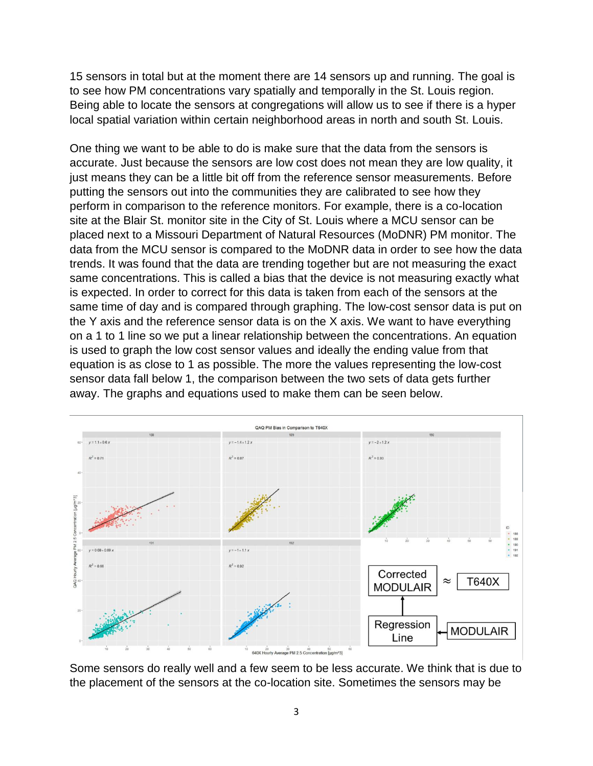15 sensors in total but at the moment there are 14 sensors up and running. The goal is to see how PM concentrations vary spatially and temporally in the St. Louis region. Being able to locate the sensors at congregations will allow us to see if there is a hyper local spatial variation within certain neighborhood areas in north and south St. Louis.

One thing we want to be able to do is make sure that the data from the sensors is accurate. Just because the sensors are low cost does not mean they are low quality, it just means they can be a little bit off from the reference sensor measurements. Before putting the sensors out into the communities they are calibrated to see how they perform in comparison to the reference monitors. For example, there is a co-location site at the Blair St. monitor site in the City of St. Louis where a MCU sensor can be placed next to a Missouri Department of Natural Resources (MoDNR) PM monitor. The data from the MCU sensor is compared to the MoDNR data in order to see how the data trends. It was found that the data are trending together but are not measuring the exact same concentrations. This is called a bias that the device is not measuring exactly what is expected. In order to correct for this data is taken from each of the sensors at the same time of day and is compared through graphing. The low-cost sensor data is put on the Y axis and the reference sensor data is on the X axis. We want to have everything on a 1 to 1 line so we put a linear relationship between the concentrations. An equation is used to graph the low cost sensor values and ideally the ending value from that equation is as close to 1 as possible. The more the values representing the low-cost sensor data fall below 1, the comparison between the two sets of data gets further away. The graphs and equations used to make them can be seen below.



Some sensors do really well and a few seem to be less accurate. We think that is due to the placement of the sensors at the co-location site. Sometimes the sensors may be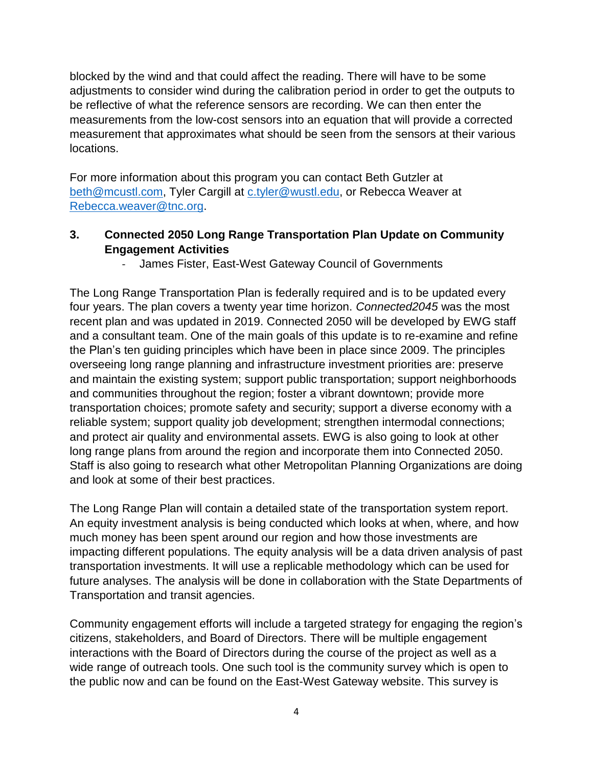blocked by the wind and that could affect the reading. There will have to be some adjustments to consider wind during the calibration period in order to get the outputs to be reflective of what the reference sensors are recording. We can then enter the measurements from the low-cost sensors into an equation that will provide a corrected measurement that approximates what should be seen from the sensors at their various locations.

For more information about this program you can contact Beth Gutzler at [beth@mcustl.com,](mailto:beth@mcustl.com) Tyler Cargill at [c.tyler@wustl.edu,](mailto:c.tyler@wustl.edu) or Rebecca Weaver at [Rebecca.weaver@tnc.org.](mailto:Rebecca.weaver@tnc.org)

# **3. Connected 2050 Long Range Transportation Plan Update on Community Engagement Activities**

James Fister, East-West Gateway Council of Governments

The Long Range Transportation Plan is federally required and is to be updated every four years. The plan covers a twenty year time horizon. *Connected2045* was the most recent plan and was updated in 2019. Connected 2050 will be developed by EWG staff and a consultant team. One of the main goals of this update is to re-examine and refine the Plan's ten guiding principles which have been in place since 2009. The principles overseeing long range planning and infrastructure investment priorities are: preserve and maintain the existing system; support public transportation; support neighborhoods and communities throughout the region; foster a vibrant downtown; provide more transportation choices; promote safety and security; support a diverse economy with a reliable system; support quality job development; strengthen intermodal connections; and protect air quality and environmental assets. EWG is also going to look at other long range plans from around the region and incorporate them into Connected 2050. Staff is also going to research what other Metropolitan Planning Organizations are doing and look at some of their best practices.

The Long Range Plan will contain a detailed state of the transportation system report. An equity investment analysis is being conducted which looks at when, where, and how much money has been spent around our region and how those investments are impacting different populations. The equity analysis will be a data driven analysis of past transportation investments. It will use a replicable methodology which can be used for future analyses. The analysis will be done in collaboration with the State Departments of Transportation and transit agencies.

Community engagement efforts will include a targeted strategy for engaging the region's citizens, stakeholders, and Board of Directors. There will be multiple engagement interactions with the Board of Directors during the course of the project as well as a wide range of outreach tools. One such tool is the community survey which is open to the public now and can be found on the East-West Gateway website. This survey is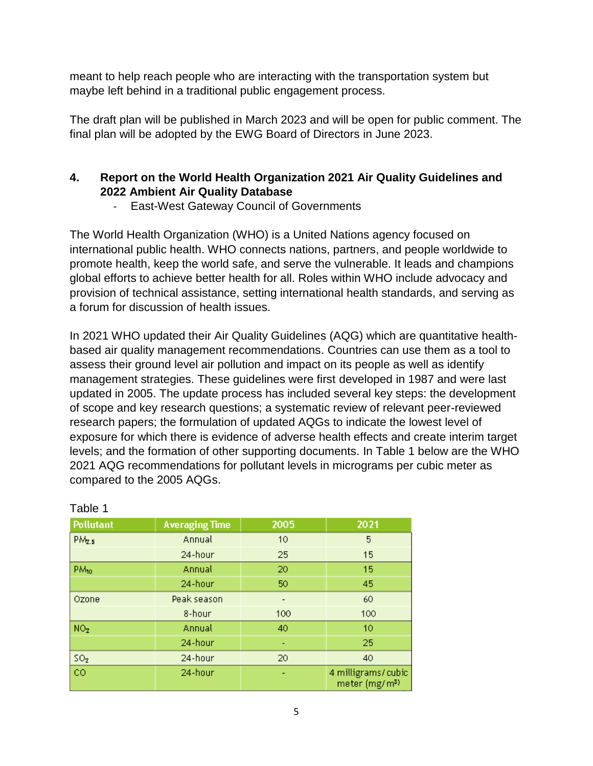meant to help reach people who are interacting with the transportation system but maybe left behind in a traditional public engagement process.

The draft plan will be published in March 2023 and will be open for public comment. The final plan will be adopted by the EWG Board of Directors in June 2023.

# **4. Report on the World Health Organization 2021 Air Quality Guidelines and 2022 Ambient Air Quality Database**

- East-West Gateway Council of Governments

The World Health Organization (WHO) is a United Nations agency focused on international public health. WHO connects nations, partners, and people worldwide to promote health, keep the world safe, and serve the vulnerable. It leads and champions global efforts to achieve better health for all. Roles within WHO include advocacy and provision of technical assistance, setting international health standards, and serving as a forum for discussion of health issues.

In 2021 WHO updated their Air Quality Guidelines (AQG) which are quantitative healthbased air quality management recommendations. Countries can use them as a tool to assess their ground level air pollution and impact on its people as well as identify management strategies. These guidelines were first developed in 1987 and were last updated in 2005. The update process has included several key steps: the development of scope and key research questions; a systematic review of relevant peer-reviewed research papers; the formulation of updated AQGs to indicate the lowest level of exposure for which there is evidence of adverse health effects and create interim target levels; and the formation of other supporting documents. In Table 1 below are the WHO 2021 AQG recommendations for pollutant levels in micrograms per cubic meter as compared to the 2005 AQGs.

| <b>Pollutant</b>  | <b>Averaging Time</b> | 2005                     | 2021                                |
|-------------------|-----------------------|--------------------------|-------------------------------------|
| PM <sub>2.5</sub> | Annual                | 10 <sub>1</sub>          | 5                                   |
|                   | 24-hour               | 25                       | 15                                  |
| PM <sub>10</sub>  | Annual                | 20                       | 15                                  |
|                   | 24-hour               | 50                       | 45                                  |
| Ozone             | Peak season           | $\overline{\phantom{0}}$ | 60                                  |
|                   | 8-hour                | 100                      | 100                                 |
| NO <sub>2</sub>   | Annual                | 40                       | 10                                  |
|                   | 24-hour               | ٠                        | 25                                  |
| SO <sub>2</sub>   | 24-hour               | 20                       | 40                                  |
| CO                | 24-hour               |                          | 4 milligrams/cubic<br>meter (mg/m3) |

Table 1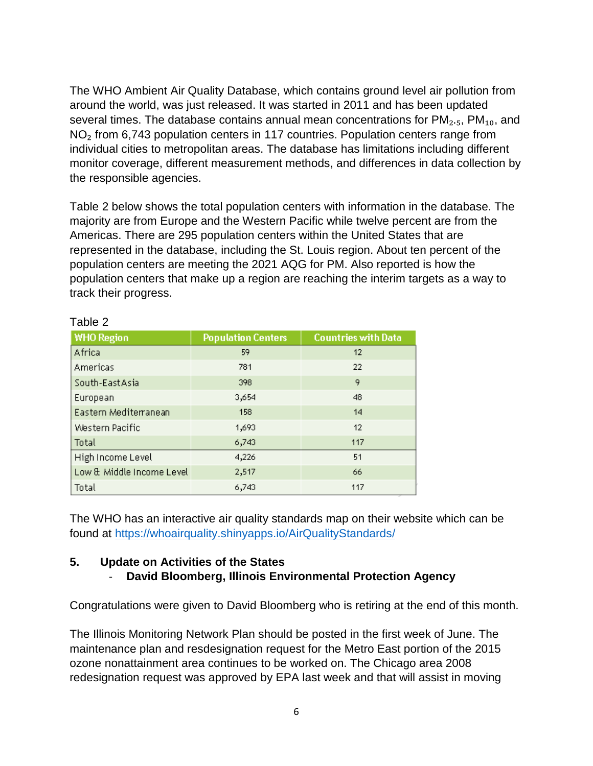The WHO Ambient Air Quality Database, which contains ground level air pollution from around the world, was just released. It was started in 2011 and has been updated several times. The database contains annual mean concentrations for  $PM<sub>2.5</sub>$ ,  $PM<sub>10</sub>$ , and NO<sub>2</sub> from 6,743 population centers in 117 countries. Population centers range from individual cities to metropolitan areas. The database has limitations including different monitor coverage, different measurement methods, and differences in data collection by the responsible agencies.

Table 2 below shows the total population centers with information in the database. The majority are from Europe and the Western Pacific while twelve percent are from the Americas. There are 295 population centers within the United States that are represented in the database, including the St. Louis region. About ten percent of the population centers are meeting the 2021 AQG for PM. Also reported is how the population centers that make up a region are reaching the interim targets as a way to track their progress.

| <b>WHO Region</b>         | <b>Population Centers</b> | <b>Countries with Data</b> |
|---------------------------|---------------------------|----------------------------|
| Africa                    | 59                        | 12                         |
| Americas                  | 781                       | 22                         |
| South-East Asia           | 398                       | 9                          |
| European                  | 3,654                     | 48                         |
| Eastern Mediterranean     | 158                       | 14                         |
| Western Pacific           | 1,693                     | 12                         |
| Total                     | 6,743                     | 117                        |
| High Income Level         | 4,226                     | 51                         |
| Low & Middle Income Level | 2,517                     | 66                         |
| Total                     | 6,743                     | 117                        |

| able |  |
|------|--|
|------|--|

The WHO has an interactive air quality standards map on their website which can be found at<https://whoairquality.shinyapps.io/AirQualityStandards/>

# **5. Update on Activities of the States**

- **David Bloomberg, Illinois Environmental Protection Agency**

Congratulations were given to David Bloomberg who is retiring at the end of this month.

The Illinois Monitoring Network Plan should be posted in the first week of June. The maintenance plan and resdesignation request for the Metro East portion of the 2015 ozone nonattainment area continues to be worked on. The Chicago area 2008 redesignation request was approved by EPA last week and that will assist in moving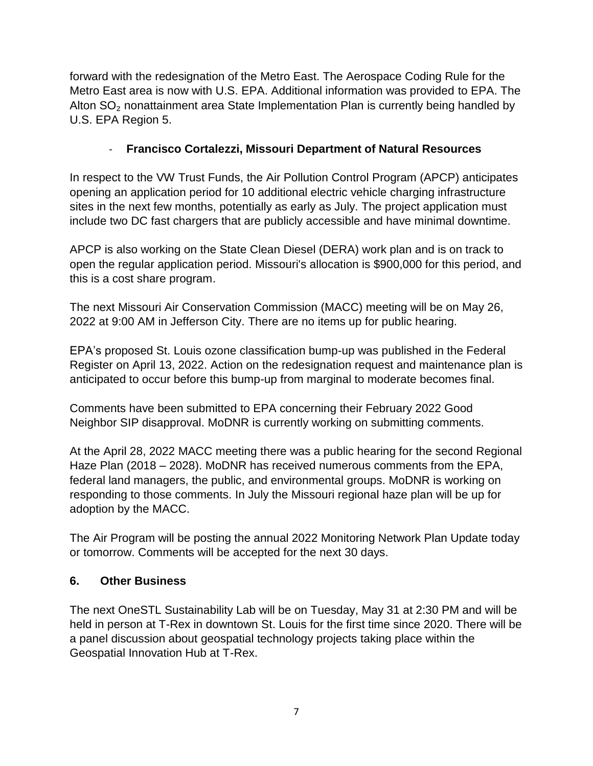forward with the redesignation of the Metro East. The Aerospace Coding Rule for the Metro East area is now with U.S. EPA. Additional information was provided to EPA. The Alton  $SO<sub>2</sub>$  nonattainment area State Implementation Plan is currently being handled by U.S. EPA Region 5.

# - **Francisco Cortalezzi, Missouri Department of Natural Resources**

In respect to the VW Trust Funds, the Air Pollution Control Program (APCP) anticipates opening an application period for 10 additional electric vehicle charging infrastructure sites in the next few months, potentially as early as July. The project application must include two DC fast chargers that are publicly accessible and have minimal downtime.

APCP is also working on the State Clean Diesel (DERA) work plan and is on track to open the regular application period. Missouri's allocation is \$900,000 for this period, and this is a cost share program.

The next Missouri Air Conservation Commission (MACC) meeting will be on May 26, 2022 at 9:00 AM in Jefferson City. There are no items up for public hearing.

EPA's proposed St. Louis ozone classification bump-up was published in the Federal Register on April 13, 2022. Action on the redesignation request and maintenance plan is anticipated to occur before this bump-up from marginal to moderate becomes final.

Comments have been submitted to EPA concerning their February 2022 Good Neighbor SIP disapproval. MoDNR is currently working on submitting comments.

At the April 28, 2022 MACC meeting there was a public hearing for the second Regional Haze Plan (2018 – 2028). MoDNR has received numerous comments from the EPA, federal land managers, the public, and environmental groups. MoDNR is working on responding to those comments. In July the Missouri regional haze plan will be up for adoption by the MACC.

The Air Program will be posting the annual 2022 Monitoring Network Plan Update today or tomorrow. Comments will be accepted for the next 30 days.

# **6. Other Business**

The next OneSTL Sustainability Lab will be on Tuesday, May 31 at 2:30 PM and will be held in person at T-Rex in downtown St. Louis for the first time since 2020. There will be a panel discussion about geospatial technology projects taking place within the Geospatial Innovation Hub at T-Rex.